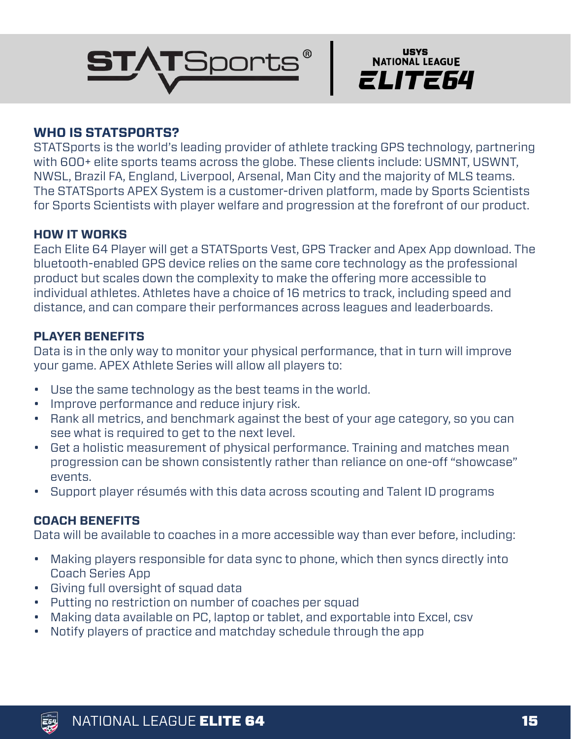



# **WHO IS STATSPORTS?**

STATSports is the world's leading provider of athlete tracking GPS technology, partnering with 600+ elite sports teams across the globe. These clients include: USMNT, USWNT, NWSL, Brazil FA, England, Liverpool, Arsenal, Man City and the majority of MLS teams. The STATSports APEX System is a customer-driven platform, made by Sports Scientists for Sports Scientists with player welfare and progression at the forefront of our product.

### **HOW IT WORKS**

Each Elite 64 Player will get a STATSports Vest, GPS Tracker and Apex App download. The bluetooth-enabled GPS device relies on the same core technology as the professional product but scales down the complexity to make the offering more accessible to individual athletes. Athletes have a choice of 16 metrics to track, including speed and distance, and can compare their performances across leagues and leaderboards.

### **PLAYER BENEFITS**

Data is in the only way to monitor your physical performance, that in turn will improve your game. APEX Athlete Series will allow all players to:

- Use the same technology as the best teams in the world.
- Improve performance and reduce injury risk.
- Rank all metrics, and benchmark against the best of your age category, so you can see what is required to get to the next level.
- Get a holistic measurement of physical performance. Training and matches mean progression can be shown consistently rather than reliance on one-off "showcase" events.
- Support player résumés with this data across scouting and Talent ID programs

# **COACH BENEFITS**

Data will be available to coaches in a more accessible way than ever before, including:

- Making players responsible for data sync to phone, which then syncs directly into Coach Series App
- Giving full oversight of squad data
- Putting no restriction on number of coaches per squad
- Making data available on PC, laptop or tablet, and exportable into Excel, csv
- Notify players of practice and matchday schedule through the app